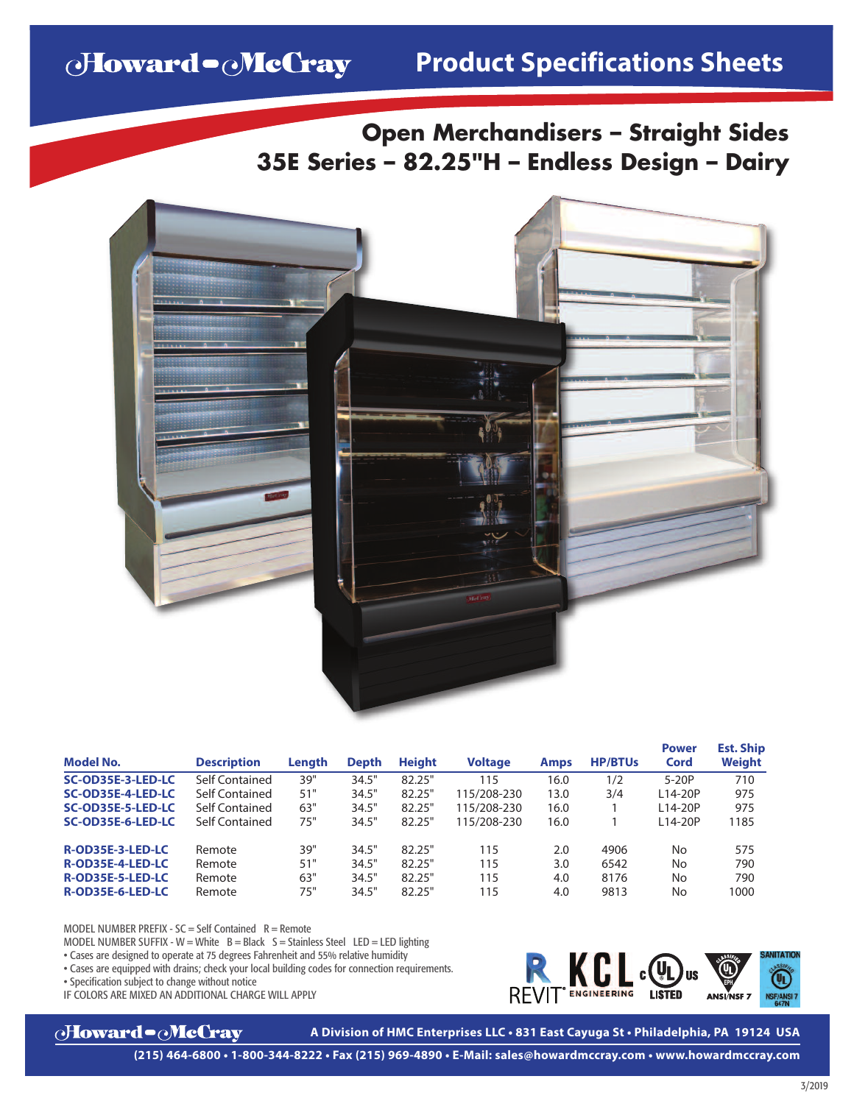# Howard - McCray

**Open Merchandisers – Straight Sides 35E Series – 82.25"H – Endless Design – Dairy**



| <b>Model No.</b>  | <b>Description</b> | Lenath | <b>Depth</b> | <b>Height</b> | <b>Voltage</b> | <b>Amps</b> | <b>HP/BTUs</b> | <b>Power</b><br>Cord | <b>Est. Ship</b><br>Weight |
|-------------------|--------------------|--------|--------------|---------------|----------------|-------------|----------------|----------------------|----------------------------|
| SC-OD35E-3-LED-LC | Self Contained     | 39"    | 34.5"        | 82.25"        | 115            | 16.0        | 1/2            | $5-20P$              | 710                        |
| SC-OD35E-4-LED-LC | Self Contained     | 51"    | 34.5"        | 82.25"        | 115/208-230    | 13.0        | 3/4            | L14-20P              | 975                        |
| SC-OD35E-5-LED-LC | Self Contained     | 63"    | 34.5"        | 82.25"        | 115/208-230    | 16.0        |                | L14-20P              | 975                        |
| SC-OD35E-6-LED-LC | Self Contained     | 75"    | 34.5"        | 82.25"        | 115/208-230    | 16.0        |                | $114-20P$            | 1185                       |
| R-OD35E-3-LED-LC  | Remote             | 39"    | 34.5"        | 82.25"        | 115            | 2.0         | 4906           | No                   | 575                        |
| R-OD35E-4-LED-LC  | Remote             | 51"    | 34.5"        | 82.25"        | 115            | 3.0         | 6542           | No                   | 790                        |
| R-OD35E-5-LED-LC  | Remote             | 63"    | 34.5"        | 82.25"        | 115            | 4.0         | 8176           | No                   | 790                        |
| R-OD35E-6-LED-LC  | Remote             | 75"    | 34.5"        | 82.25"        | 115            | 4.0         | 9813           | No                   | 1000                       |

MODEL NUMBER PREFIX -  $SC = Self$  Contained  $R =$  Remote

MODEL NUMBER SUFFIX - W = White  $B = Black$  S = Stainless Steel LED = LED lighting

• Cases are designed to operate at 75 degrees Fahrenheit and 55% relative humidity

• Cases are equipped with drains; check your local building codes for connection requirements.

• Specification subject to change without notice

IF COLORS ARE MIXED AN ADDITIONAL CHARGE WILL APPLY





**A Division of HMC Enterprises LLC • 831 East Cayuga St • Philadelphia, PA 19124 USA**

**(215) 464-6800 • 1-800-344-8222 • Fax (215) 969-4890 • E-Mail: sales@howardmccray.com • www.howardmccray.com**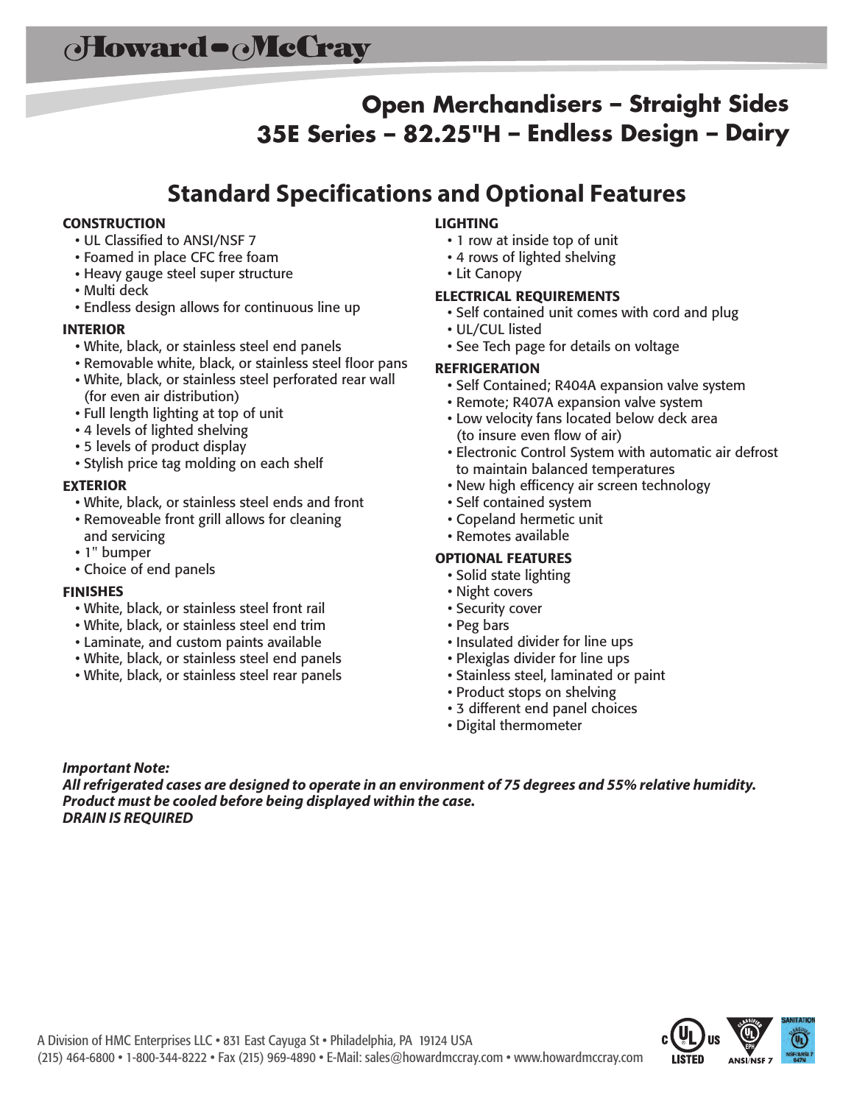# **Open Merchandisers – Straight Sides 35E Series – 82.25"H – Endless Design – Dairy**

## **Standard Specifications and Optional Features**

#### **CONSTRUCTION**

- UL Classified to ANSI/NSF 7
- Foamed in place CFC free foam
- Heavy gauge steel super structure
- Multi deck
- Endless design allows for continuous line up

#### **INTERIOR**

- White, black, or stainless steel end panels
- Removable white, black, or stainless steel floor pans
- White, black, or stainless steel perforated rear wall (for even air distribution)
- Full length lighting at top of unit
- <sup>4</sup> levels of lighted shelving
- <sup>5</sup> levels of product display
- Stylish price tag molding on each shelf

#### **EXTERIOR**

- White, black, or stainless steel ends and front
- Removeable front grill allows for cleaning and servicing
- 1" bumper
- Choice of end panels

#### **FINISHES**

- White, black, or stainless steel front rail
- White, black, or stainless steel end trim
- Laminate, and custom paints available
- White, black, or stainless steel end panels
- White, black, or stainless steel rear panels

#### **LIGHTING**

- <sup>1</sup> row at inside top of unit
- <sup>4</sup> rows of lighted shelving
- Lit Canopy

#### **ELECTRICAL REQUIREMENTS**

- Self contained unit comes with cord and plug
- UL/CUL listed
- See Tech page for details on voltage

#### **REFRIGERATION**

- Self Contained; R404A expansion valve system
- Remote; R407A expansion valve system
- Low velocity fans located below deck area (to insure even flow of air)
- Electronic Control System with automatic air defrost to maintain balanced temperatures
- New high efficency air screen technology
- Self contained system
- Copeland hermetic unit
- Remotes available

#### **OPTIONAL FEATURES**

- Solid state lighting
- Night covers
- Security cover
- Peg bars
- Insulated divider for line ups
- Plexiglas divider for line ups
- Stainless steel, laminated or paint
- Product stops on shelving
- <sup>3</sup> different end panel choices
- Digital thermometer

#### *Important Note:*

*Allrefrigerated cases are designed to operate in an environment of 75 degrees and 55% relative humidity. Product must be cooled before being displayed within the case. DRAIN IS REQUIRED*

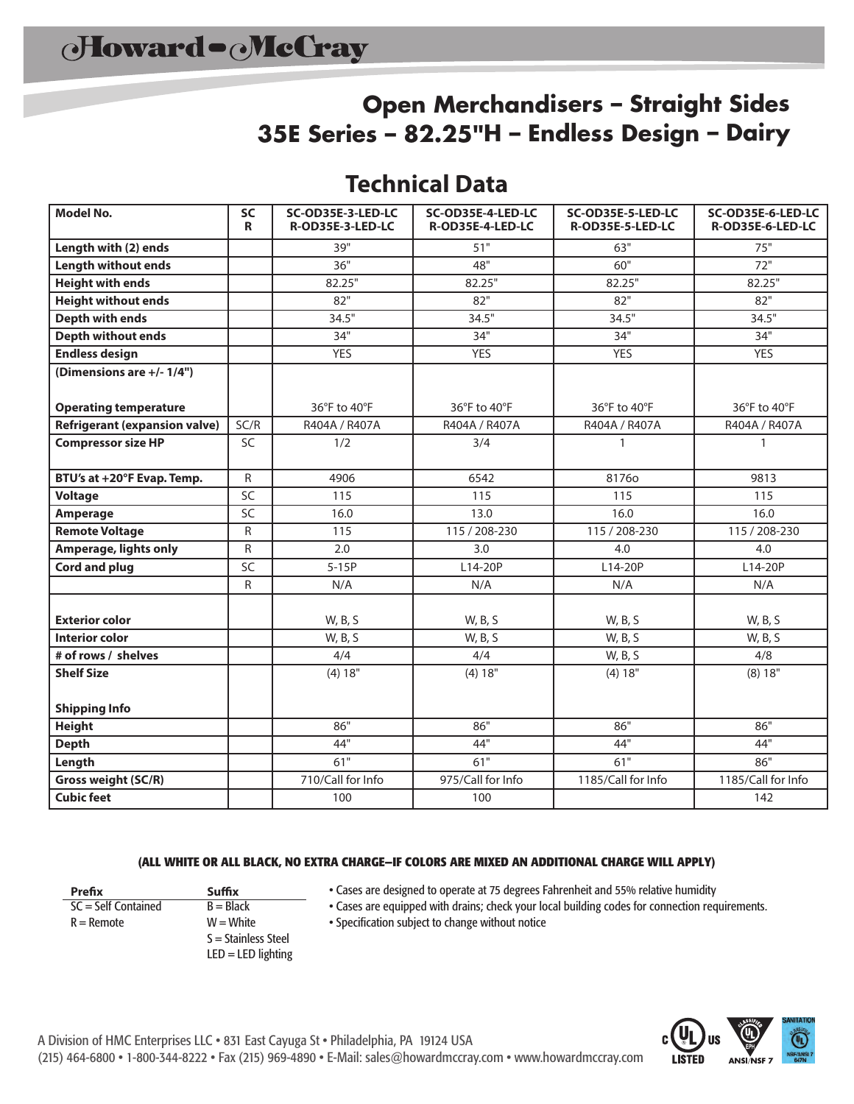## **Open Merchandisers – Straight Sides 35E Series – 82.25"H – Endless Design – Dairy**

## **Technical Data**

| <b>Model No.</b>                     | SC<br>R         | SC-OD35E-3-LED-LC<br>R-OD35E-3-LED-LC | SC-OD35E-4-LED-LC<br>R-OD35E-4-LED-LC | SC-OD35E-5-LED-LC<br>R-OD35E-5-LED-LC | SC-OD35E-6-LED-LC<br>R-OD35E-6-LED-LC |  |
|--------------------------------------|-----------------|---------------------------------------|---------------------------------------|---------------------------------------|---------------------------------------|--|
| Length with (2) ends                 |                 | 39"                                   | 51"                                   | 63"                                   | 75"                                   |  |
| <b>Length without ends</b>           |                 | 36"                                   | 48"                                   | 60"                                   | 72"                                   |  |
| <b>Height with ends</b>              |                 | 82.25"                                | 82.25"                                | 82.25"                                | 82.25"                                |  |
| <b>Height without ends</b>           |                 | 82"                                   | 82"                                   | 82"                                   | 82"                                   |  |
| Depth with ends                      |                 | 34.5"                                 | 34.5"                                 | 34.5"                                 | 34.5"                                 |  |
| <b>Depth without ends</b>            |                 | 34"                                   | 34"                                   | 34"                                   | 34"                                   |  |
| <b>Endless design</b>                |                 | <b>YES</b>                            | <b>YES</b>                            | <b>YES</b>                            | <b>YES</b>                            |  |
| (Dimensions are +/- 1/4")            |                 |                                       |                                       |                                       |                                       |  |
| <b>Operating temperature</b>         |                 | 36°F to 40°F                          | 36°F to 40°F                          | $36^{\circ}$ F to $40^{\circ}$ F      | 36°F to 40°F                          |  |
| <b>Refrigerant (expansion valve)</b> | SC/R            | R404A / R407A                         | R404A / R407A                         | R404A / R407A                         | R404A / R407A                         |  |
| <b>Compressor size HP</b>            | <b>SC</b>       | 1/2                                   | 3/4                                   | $\mathbf{1}$                          | $\mathbf{1}$                          |  |
| BTU's at +20°F Evap. Temp.           | $\mathsf{R}$    | 4906                                  | 6542                                  | 81760                                 | 9813                                  |  |
| <b>Voltage</b>                       | SC              | 115                                   | 115                                   | 115                                   | 115                                   |  |
| Amperage                             | $\overline{SC}$ | 16.0                                  | 13.0                                  | 16.0                                  | 16.0                                  |  |
| <b>Remote Voltage</b>                | R               | 115                                   | 115 / 208-230                         | 115 / 208-230                         | 115 / 208-230                         |  |
| Amperage, lights only                | ${\sf R}$       | 2.0                                   | 3.0                                   | 4.0                                   | 4.0                                   |  |
| <b>Cord and plug</b>                 | SC              | $5-15P$                               | L14-20P                               | L14-20P                               | L14-20P                               |  |
|                                      | ${\sf R}$       | N/A                                   | N/A                                   | N/A                                   | N/A                                   |  |
| <b>Exterior color</b>                |                 | W, B, S                               | W, B, S                               | W, B, S                               | W, B, S                               |  |
| <b>Interior color</b>                |                 | W, B, S                               | W, B, S                               | W, B, S                               | W, B, S                               |  |
| # of rows / shelves                  |                 | 4/4                                   | 4/4                                   | W, B, S                               | 4/8                                   |  |
| <b>Shelf Size</b>                    |                 | (4) 18"                               | (4) 18"                               | (4) 18"                               | (8) 18"                               |  |
| <b>Shipping Info</b>                 |                 |                                       |                                       |                                       |                                       |  |
| <b>Height</b>                        |                 | 86"                                   | 86"                                   | 86"                                   | 86"                                   |  |
| <b>Depth</b>                         |                 | 44"                                   | 44"                                   | 44"                                   | 44"                                   |  |
| Length                               |                 | 61"                                   | 61"                                   | 61"                                   | 86"                                   |  |
| Gross weight (SC/R)                  |                 | 710/Call for Info                     | 975/Call for Info                     | 1185/Call for Info                    | 1185/Call for Info                    |  |
| <b>Cubic feet</b>                    |                 | 100                                   | 100                                   |                                       | 142                                   |  |

#### **(ALL WHITE OR ALL BLACK, NO EXTRA CHARGE—IF COLORS ARE MIXED AN ADDITIONAL CHARGE WILL APPLY)**

**Prefix Suffix**<br> **SC** = Self Contained **B** = Black  $SC = Self$  Contained  $R =$ Remote  $W =$ W $=$ White

- S = Stainless Steel  $LED = LED$  lighting
- Cases are designed to operate at 75 degrees Fahrenheit and 55% relative humidity

• Cases are equipped with drains; check your local building codes for connection requirements.

• Specification subject to change without notice